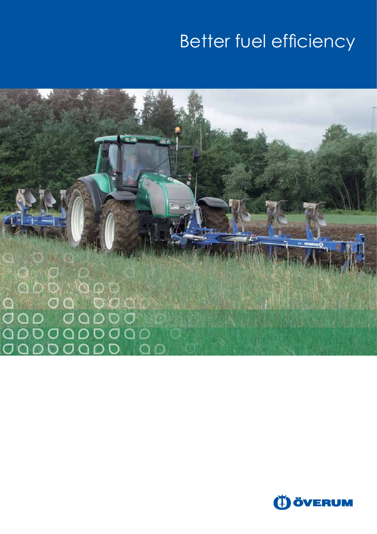# Better fuel efficiency

 $000000$ o o<br>O O O C  $\overline{O}$   $\overline{O}$ **ASSES**  $\overline{\mathsf{C}}$ D 00000  $\overline{O}$ **PDOODDOO**  $\subset$